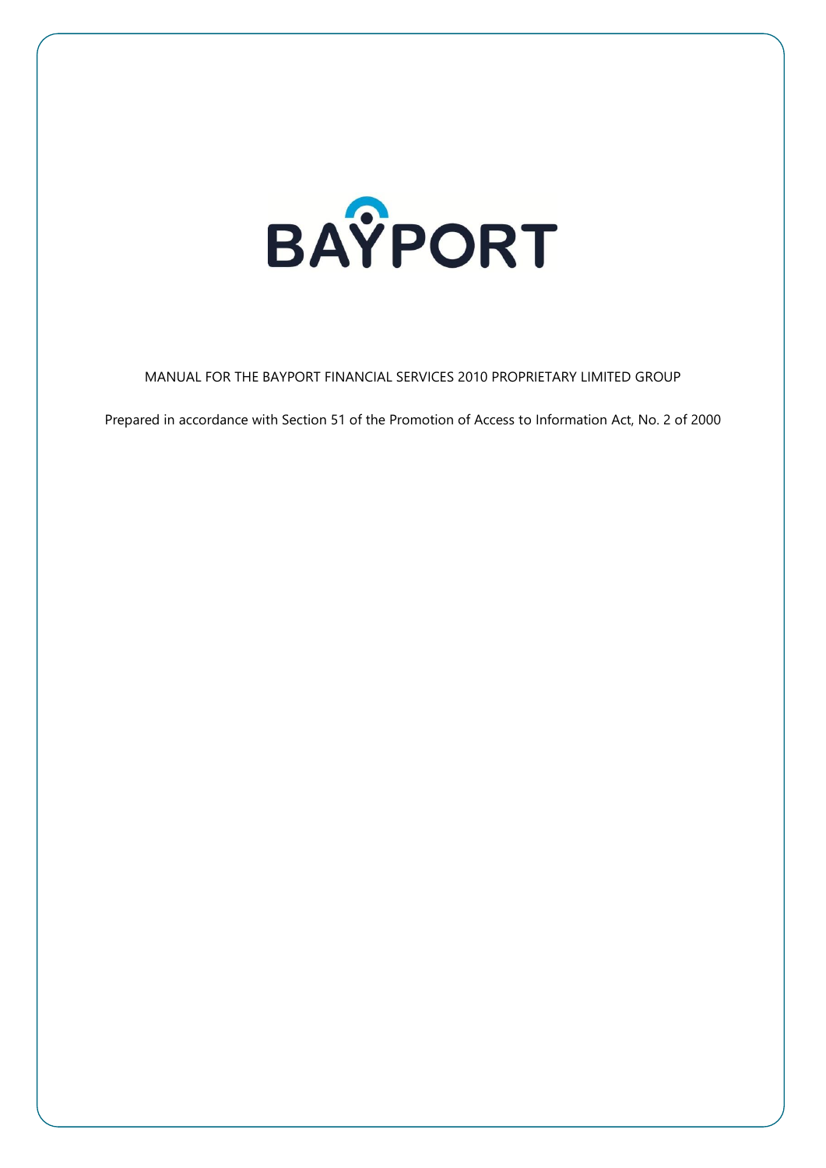

MANUAL FOR THE BAYPORT FINANCIAL SERVICES 2010 PROPRIETARY LIMITED GROUP

Prepared in accordance with Section 51 of the Promotion of Access to Information Act, No. 2 of 2000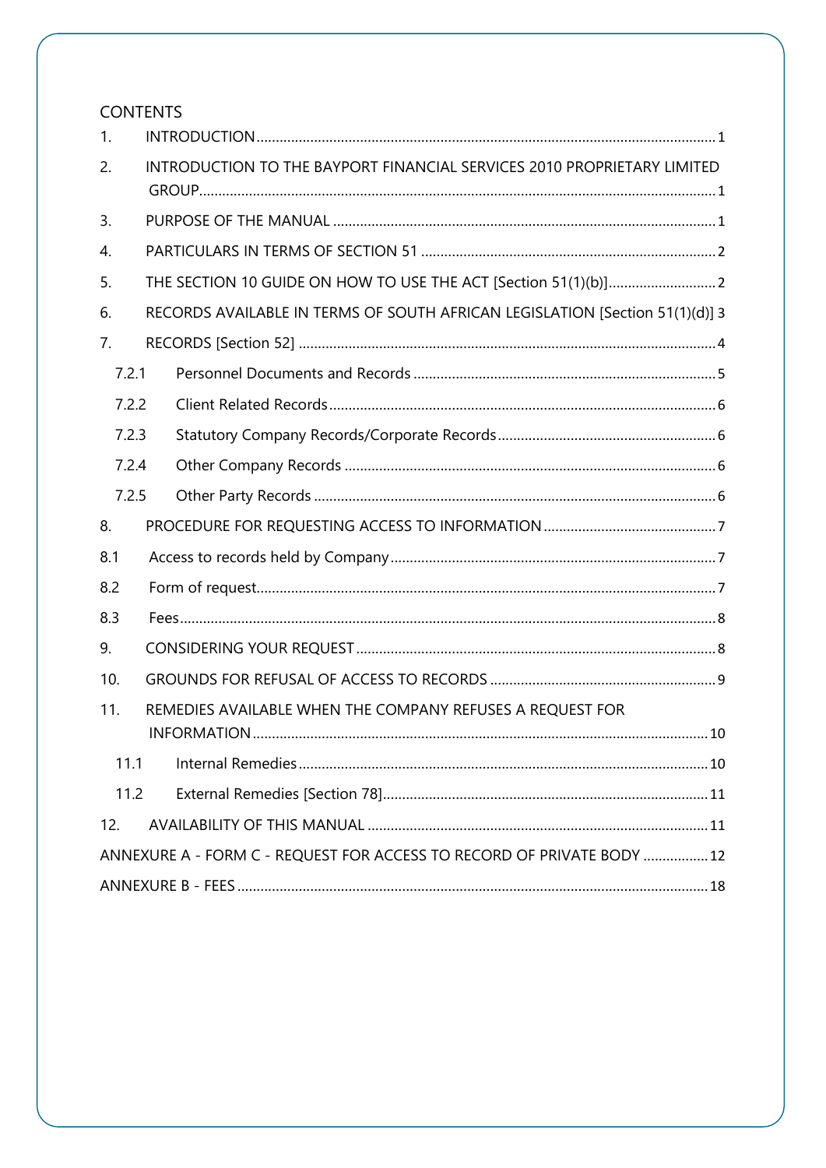# **CONTENTS**

| 1.                                                               |                                                                         |                                                                              |  |
|------------------------------------------------------------------|-------------------------------------------------------------------------|------------------------------------------------------------------------------|--|
| 2.                                                               | INTRODUCTION TO THE BAYPORT FINANCIAL SERVICES 2010 PROPRIETARY LIMITED |                                                                              |  |
| 3.                                                               |                                                                         |                                                                              |  |
| 4.                                                               |                                                                         |                                                                              |  |
| 5.                                                               |                                                                         |                                                                              |  |
| 6.                                                               |                                                                         | RECORDS AVAILABLE IN TERMS OF SOUTH AFRICAN LEGISLATION [Section 51(1)(d)] 3 |  |
| 7.                                                               |                                                                         |                                                                              |  |
| 7.2.1                                                            |                                                                         |                                                                              |  |
| 7.2.2                                                            |                                                                         |                                                                              |  |
| 7.2.3                                                            |                                                                         |                                                                              |  |
| 7.2.4                                                            |                                                                         |                                                                              |  |
| 7.2.5                                                            |                                                                         |                                                                              |  |
| 8.                                                               |                                                                         |                                                                              |  |
| 8.1                                                              |                                                                         |                                                                              |  |
| 8.2                                                              |                                                                         |                                                                              |  |
| 8.3                                                              |                                                                         |                                                                              |  |
| 9.                                                               |                                                                         |                                                                              |  |
| 10.                                                              |                                                                         |                                                                              |  |
| 11.<br>REMEDIES AVAILABLE WHEN THE COMPANY REFUSES A REQUEST FOR |                                                                         |                                                                              |  |
| 11.1                                                             |                                                                         |                                                                              |  |
| 11.2                                                             |                                                                         |                                                                              |  |
| 12.                                                              |                                                                         |                                                                              |  |
|                                                                  |                                                                         | ANNEXURE A - FORM C - REQUEST FOR ACCESS TO RECORD OF PRIVATE BODY  12       |  |
|                                                                  |                                                                         |                                                                              |  |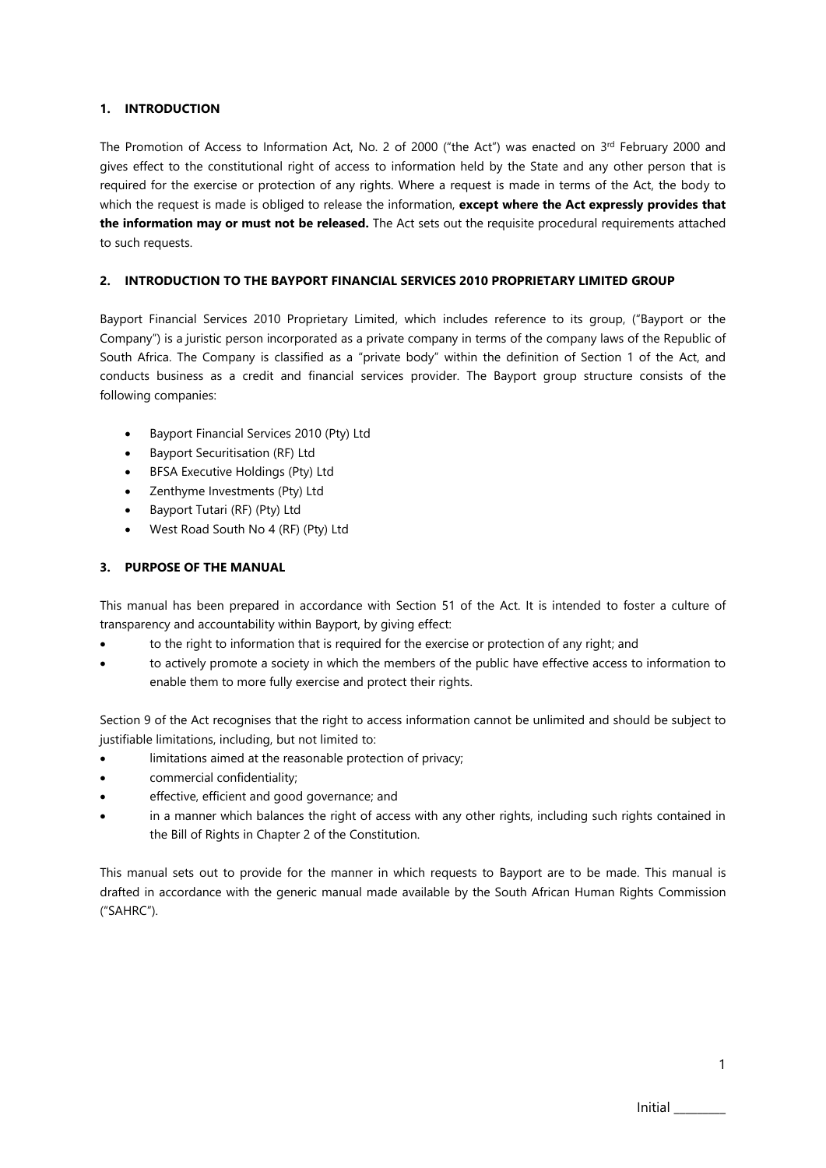### <span id="page-2-3"></span><span id="page-2-0"></span>**1. INTRODUCTION**

The Promotion of Access to Information Act, No. 2 of 2000 ("the Act") was enacted on 3<sup>rd</sup> February 2000 and gives effect to the constitutional right of access to information held by the State and any other person that is required for the exercise or protection of any rights. Where a request is made in terms of the Act, the body to which the request is made is obliged to release the information, **except where the Act expressly provides that the information may or must not be released.** The Act sets out the requisite procedural requirements attached to such requests.

#### <span id="page-2-1"></span>**2. INTRODUCTION TO THE BAYPORT FINANCIAL SERVICES 2010 PROPRIETARY LIMITED GROUP**

Bayport Financial Services 2010 Proprietary Limited, which includes reference to its group, ("Bayport or the Company") is a juristic person incorporated as a private company in terms of the company laws of the Republic of South Africa. The Company is classified as a "private body" within the definition of Section 1 of the Act, and conducts business as a credit and financial services provider. The Bayport group structure consists of the following companies:

- Bayport Financial Services 2010 (Pty) Ltd
- Bayport Securitisation (RF) Ltd
- BFSA Executive Holdings (Pty) Ltd
- Zenthyme Investments (Pty) Ltd
- Bayport Tutari (RF) (Pty) Ltd
- West Road South No 4 (RF) (Pty) Ltd

#### <span id="page-2-2"></span>**3. PURPOSE OF THE MANUAL**

This manual has been prepared in accordance with Section 51 of the Act. It is intended to foster a culture of transparency and accountability within Bayport, by giving effect:

- to the right to information that is required for the exercise or protection of any right; and
- to actively promote a society in which the members of the public have effective access to information to enable them to more fully exercise and protect their rights.

Section 9 of the Act recognises that the right to access information cannot be unlimited and should be subject to justifiable limitations, including, but not limited to:

- limitations aimed at the reasonable protection of privacy;
- commercial confidentiality;
- effective, efficient and good governance; and
- in a manner which balances the right of access with any other rights, including such rights contained in the Bill of Rights in Chapter 2 of the Constitution.

This manual sets out to provide for the manner in which requests to Bayport are to be made. This manual is drafted in accordance with the generic manual made available by the South African Human Rights Commission ("SAHRC").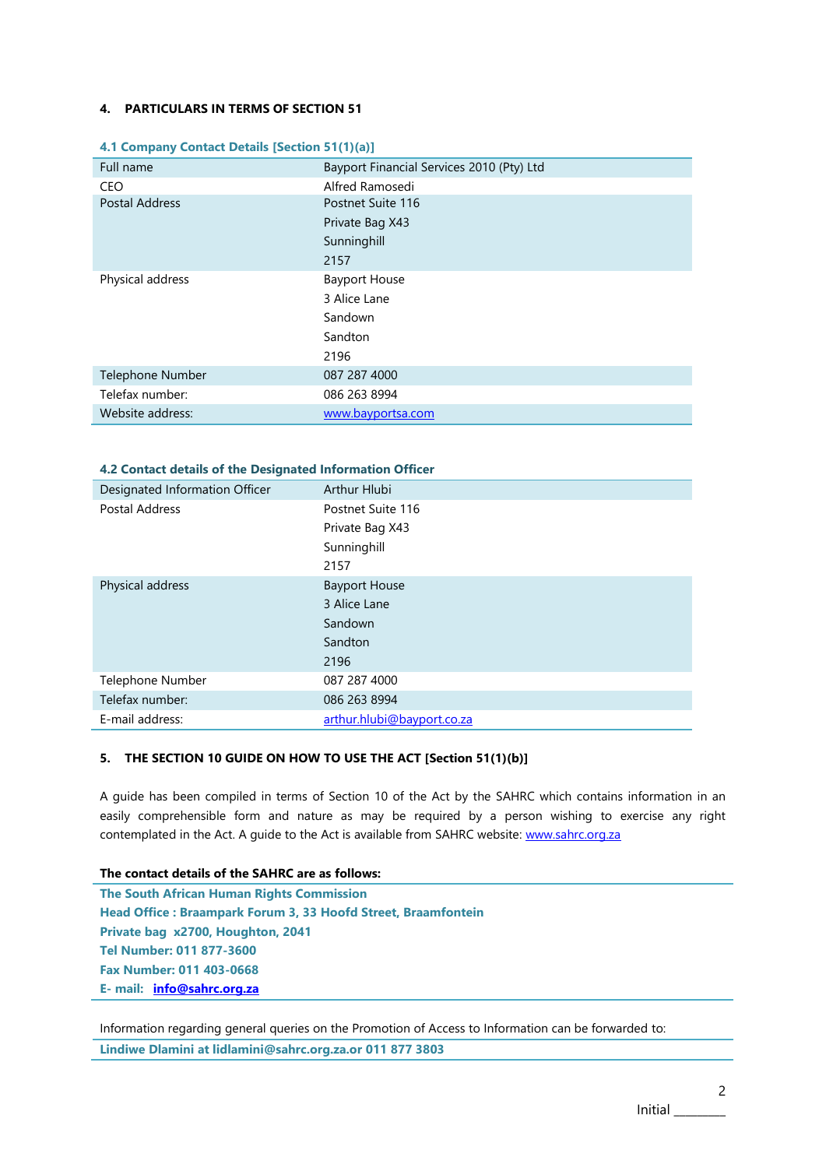#### **4. PARTICULARS IN TERMS OF SECTION 51**

| Full name             | Bayport Financial Services 2010 (Pty) Ltd |
|-----------------------|-------------------------------------------|
| CEO                   | Alfred Ramosedi                           |
| <b>Postal Address</b> | Postnet Suite 116                         |
|                       | Private Bag X43                           |
|                       | Sunninghill                               |
|                       | 2157                                      |
| Physical address      | <b>Bayport House</b>                      |
|                       | 3 Alice Lane                              |
|                       | Sandown                                   |
|                       | Sandton                                   |
|                       | 2196                                      |
| Telephone Number      | 087 287 4000                              |
| Telefax number:       | 086 263 8994                              |
| Website address:      | www.bayportsa.com                         |

#### **4.1 Company Contact Details [Section 51(1)(a)]**

## **4.2 Contact details of the Designated Information Officer**

| Designated Information Officer | Arthur Hlubi               |  |
|--------------------------------|----------------------------|--|
| Postal Address                 | Postnet Suite 116          |  |
|                                | Private Bag X43            |  |
|                                | Sunninghill                |  |
|                                | 2157                       |  |
| Physical address               | <b>Bayport House</b>       |  |
|                                | 3 Alice Lane               |  |
|                                | Sandown                    |  |
|                                | Sandton                    |  |
|                                | 2196                       |  |
| Telephone Number               | 087 287 4000               |  |
| Telefax number:                | 086 263 8994               |  |
| E-mail address:                | arthur.hlubi@bayport.co.za |  |

#### <span id="page-3-0"></span>**5. THE SECTION 10 GUIDE ON HOW TO USE THE ACT [Section 51(1)(b)]**

A guide has been compiled in terms of Section 10 of the Act by the SAHRC which contains information in an easily comprehensible form and nature as may be required by a person wishing to exercise any right contemplated in the Act. A guide to the Act is available from SAHRC website: [www.sahrc.org.za](http://www.sahrc.org.za/)

#### **The contact details of the SAHRC are as follows:**

**The South African Human Rights Commission Head Office : Braampark Forum 3, 33 Hoofd Street, Braamfontein Private bag x2700, Houghton, 2041 Tel Number: 011 877-3600 Fax Number: 011 403-0668 E- mail: [info@sahrc.org.za](mailto:info@sahrc.org.za)**

Information regarding general queries on the Promotion of Access to Information can be forwarded to:

**Lindiwe Dlamini at lidlamini@sahrc.org.za.or 011 877 3803**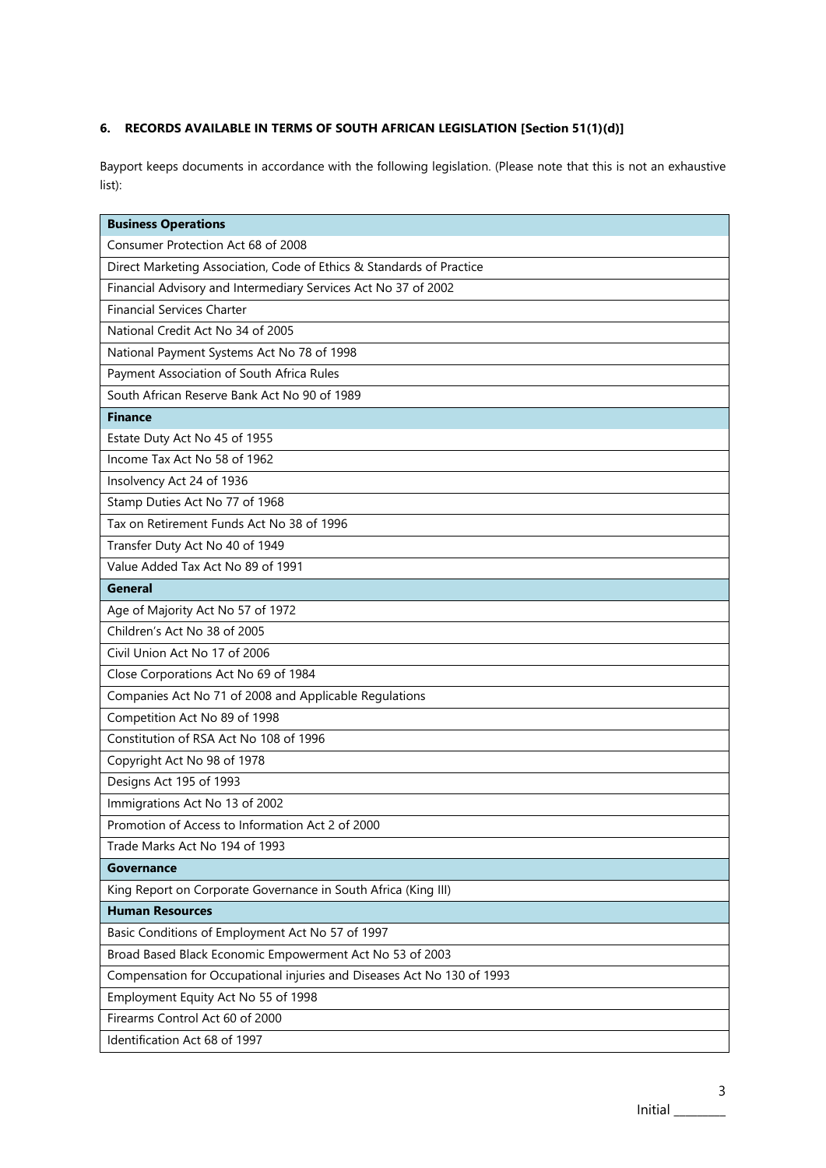## <span id="page-4-0"></span>**6. RECORDS AVAILABLE IN TERMS OF SOUTH AFRICAN LEGISLATION [Section 51(1)(d)]**

Bayport keeps documents in accordance with the following legislation. (Please note that this is not an exhaustive list):

| <b>Business Operations</b>                                             |
|------------------------------------------------------------------------|
| Consumer Protection Act 68 of 2008                                     |
| Direct Marketing Association, Code of Ethics & Standards of Practice   |
| Financial Advisory and Intermediary Services Act No 37 of 2002         |
| <b>Financial Services Charter</b>                                      |
| National Credit Act No 34 of 2005                                      |
| National Payment Systems Act No 78 of 1998                             |
| Payment Association of South Africa Rules                              |
| South African Reserve Bank Act No 90 of 1989                           |
| <b>Finance</b>                                                         |
| Estate Duty Act No 45 of 1955                                          |
| Income Tax Act No 58 of 1962                                           |
| Insolvency Act 24 of 1936                                              |
| Stamp Duties Act No 77 of 1968                                         |
| Tax on Retirement Funds Act No 38 of 1996                              |
| Transfer Duty Act No 40 of 1949                                        |
| Value Added Tax Act No 89 of 1991                                      |
| <b>General</b>                                                         |
| Age of Majority Act No 57 of 1972                                      |
| Children's Act No 38 of 2005                                           |
| Civil Union Act No 17 of 2006                                          |
| Close Corporations Act No 69 of 1984                                   |
| Companies Act No 71 of 2008 and Applicable Regulations                 |
| Competition Act No 89 of 1998                                          |
| Constitution of RSA Act No 108 of 1996                                 |
| Copyright Act No 98 of 1978                                            |
| Designs Act 195 of 1993                                                |
| Immigrations Act No 13 of 2002                                         |
| Promotion of Access to Information Act 2 of 2000                       |
| Trade Marks Act No 194 of 1993                                         |
| <b>Governance</b>                                                      |
| King Report on Corporate Governance in South Africa (King III)         |
| <b>Human Resources</b>                                                 |
| Basic Conditions of Employment Act No 57 of 1997                       |
| Broad Based Black Economic Empowerment Act No 53 of 2003               |
| Compensation for Occupational injuries and Diseases Act No 130 of 1993 |
| Employment Equity Act No 55 of 1998                                    |
| Firearms Control Act 60 of 2000                                        |
| Identification Act 68 of 1997                                          |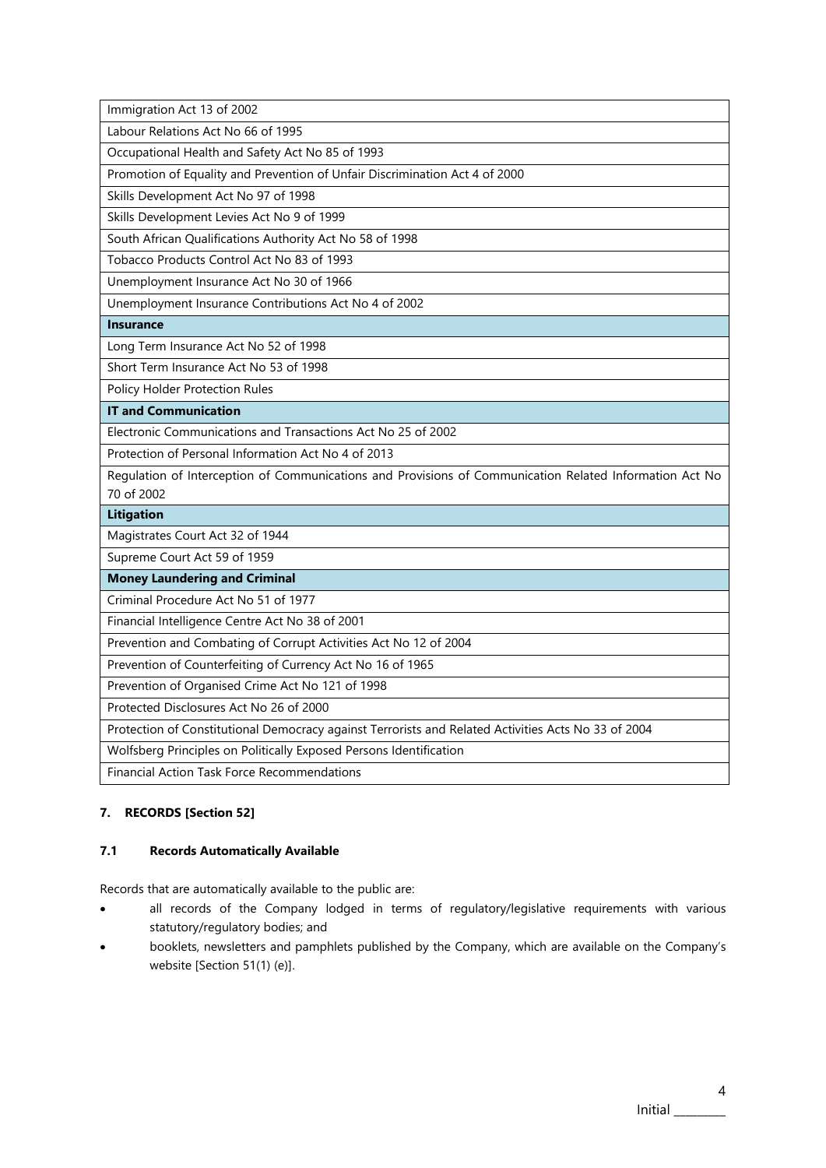Immigration Act 13 of 2002

Labour Relations Act No 66 of 1995

Occupational Health and Safety Act No 85 of 1993

Promotion of Equality and Prevention of Unfair Discrimination Act 4 of 2000

Skills Development Act No 97 of 1998

Skills Development Levies Act No 9 of 1999

South African Qualifications Authority Act No 58 of 1998

Tobacco Products Control Act No 83 of 1993

Unemployment Insurance Act No 30 of 1966

Unemployment Insurance Contributions Act No 4 of 2002

**Insurance**

Long Term Insurance Act No 52 of 1998

Short Term Insurance Act No 53 of 1998

Policy Holder Protection Rules

**IT and Communication**

Electronic Communications and Transactions Act No 25 of 2002

Protection of Personal Information Act No 4 of 2013

Regulation of Interception of Communications and Provisions of Communication Related Information Act No 70 of 2002

#### **Litigation**

Magistrates Court Act 32 of 1944

Supreme Court Act 59 of 1959

**Money Laundering and Criminal**

Criminal Procedure Act No 51 of 1977

Financial Intelligence Centre Act No 38 of 2001

Prevention and Combating of Corrupt Activities Act No 12 of 2004

Prevention of Counterfeiting of Currency Act No 16 of 1965

Prevention of Organised Crime Act No 121 of 1998

Protected Disclosures Act No 26 of 2000

Protection of Constitutional Democracy against Terrorists and Related Activities Acts No 33 of 2004

Wolfsberg Principles on Politically Exposed Persons Identification

Financial Action Task Force Recommendations

## <span id="page-5-0"></span>**7. RECORDS [Section 52]**

#### **7.1 Records Automatically Available**

Records that are automatically available to the public are:

- all records of the Company lodged in terms of regulatory/legislative requirements with various statutory/regulatory bodies; and
- booklets, newsletters and pamphlets published by the Company, which are available on the Company's website [Section 51(1) (e)].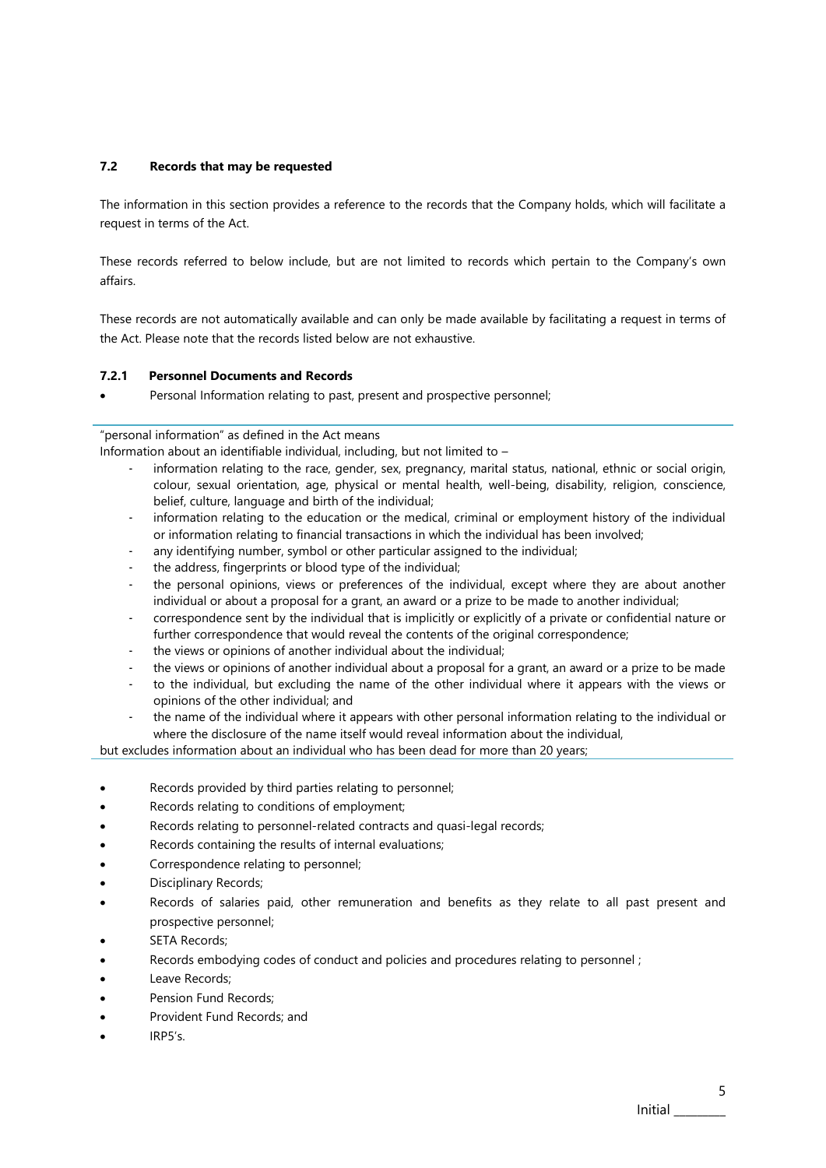#### **7.2 Records that may be requested**

The information in this section provides a reference to the records that the Company holds, which will facilitate a request in terms of the Act.

These records referred to below include, but are not limited to records which pertain to the Company's own affairs.

These records are not automatically available and can only be made available by facilitating a request in terms of the Act. Please note that the records listed below are not exhaustive.

#### <span id="page-6-0"></span>**7.2.1 Personnel Documents and Records**

• Personal Information relating to past, present and prospective personnel;

"personal information" as defined in the Act means

Information about an identifiable individual, including, but not limited to –

- information relating to the race, gender, sex, pregnancy, marital status, national, ethnic or social origin, colour, sexual orientation, age, physical or mental health, well-being, disability, religion, conscience, belief, culture, language and birth of the individual;
- information relating to the education or the medical, criminal or employment history of the individual or information relating to financial transactions in which the individual has been involved;
- any identifying number, symbol or other particular assigned to the individual;
- the address, fingerprints or blood type of the individual;
- the personal opinions, views or preferences of the individual, except where they are about another individual or about a proposal for a grant, an award or a prize to be made to another individual;
- correspondence sent by the individual that is implicitly or explicitly of a private or confidential nature or further correspondence that would reveal the contents of the original correspondence;
- the views or opinions of another individual about the individual;
- the views or opinions of another individual about a proposal for a grant, an award or a prize to be made
- to the individual, but excluding the name of the other individual where it appears with the views or opinions of the other individual; and
- the name of the individual where it appears with other personal information relating to the individual or where the disclosure of the name itself would reveal information about the individual,

but excludes information about an individual who has been dead for more than 20 years;

- Records provided by third parties relating to personnel;
- Records relating to conditions of employment;
- Records relating to personnel-related contracts and quasi-legal records;
- Records containing the results of internal evaluations;
- Correspondence relating to personnel;
- Disciplinary Records;
- Records of salaries paid, other remuneration and benefits as they relate to all past present and prospective personnel;
- SFTA Records:
- Records embodying codes of conduct and policies and procedures relating to personnel ;
- Leave Records;
- Pension Fund Records:
- Provident Fund Records; and
- IRP5's.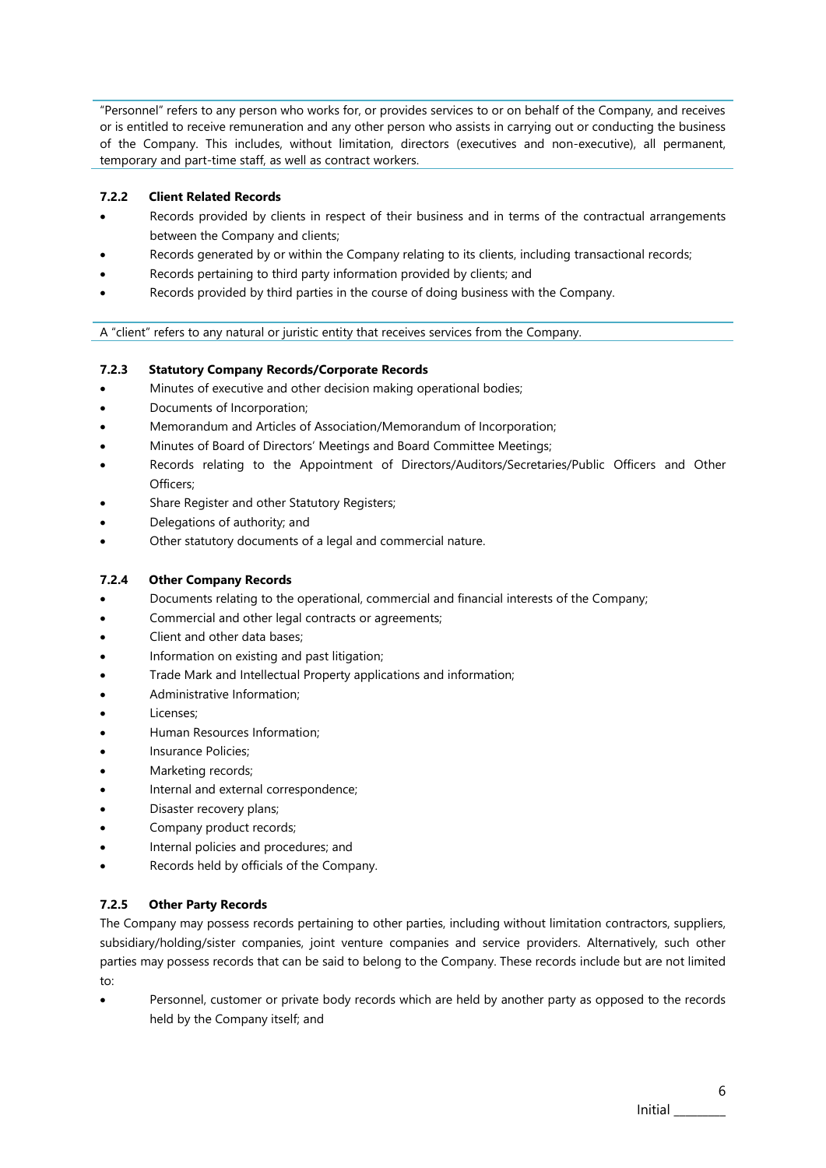"Personnel" refers to any person who works for, or provides services to or on behalf of the Company, and receives or is entitled to receive remuneration and any other person who assists in carrying out or conducting the business of the Company. This includes, without limitation, directors (executives and non-executive), all permanent, temporary and part-time staff, as well as contract workers.

## <span id="page-7-0"></span>**7.2.2 Client Related Records**

- Records provided by clients in respect of their business and in terms of the contractual arrangements between the Company and clients;
- Records generated by or within the Company relating to its clients, including transactional records;
- Records pertaining to third party information provided by clients; and
- Records provided by third parties in the course of doing business with the Company.

A "client" refers to any natural or juristic entity that receives services from the Company.

## <span id="page-7-1"></span>**7.2.3 Statutory Company Records/Corporate Records**

- Minutes of executive and other decision making operational bodies;
- Documents of Incorporation;
- Memorandum and Articles of Association/Memorandum of Incorporation;
- Minutes of Board of Directors' Meetings and Board Committee Meetings;
- Records relating to the Appointment of Directors/Auditors/Secretaries/Public Officers and Other Officers;
- Share Register and other Statutory Registers;
- Delegations of authority; and
- Other statutory documents of a legal and commercial nature.

#### <span id="page-7-2"></span>**7.2.4 Other Company Records**

- Documents relating to the operational, commercial and financial interests of the Company;
- Commercial and other legal contracts or agreements;
- Client and other data bases;
- Information on existing and past litigation;
- Trade Mark and Intellectual Property applications and information;
- Administrative Information;
- Licenses:
- Human Resources Information;
- Insurance Policies;
- Marketing records;
- Internal and external correspondence;
- Disaster recovery plans;
- Company product records;
- Internal policies and procedures; and
- Records held by officials of the Company.

## <span id="page-7-3"></span>**7.2.5 Other Party Records**

The Company may possess records pertaining to other parties, including without limitation contractors, suppliers, subsidiary/holding/sister companies, joint venture companies and service providers. Alternatively, such other parties may possess records that can be said to belong to the Company. These records include but are not limited to:

• Personnel, customer or private body records which are held by another party as opposed to the records held by the Company itself; and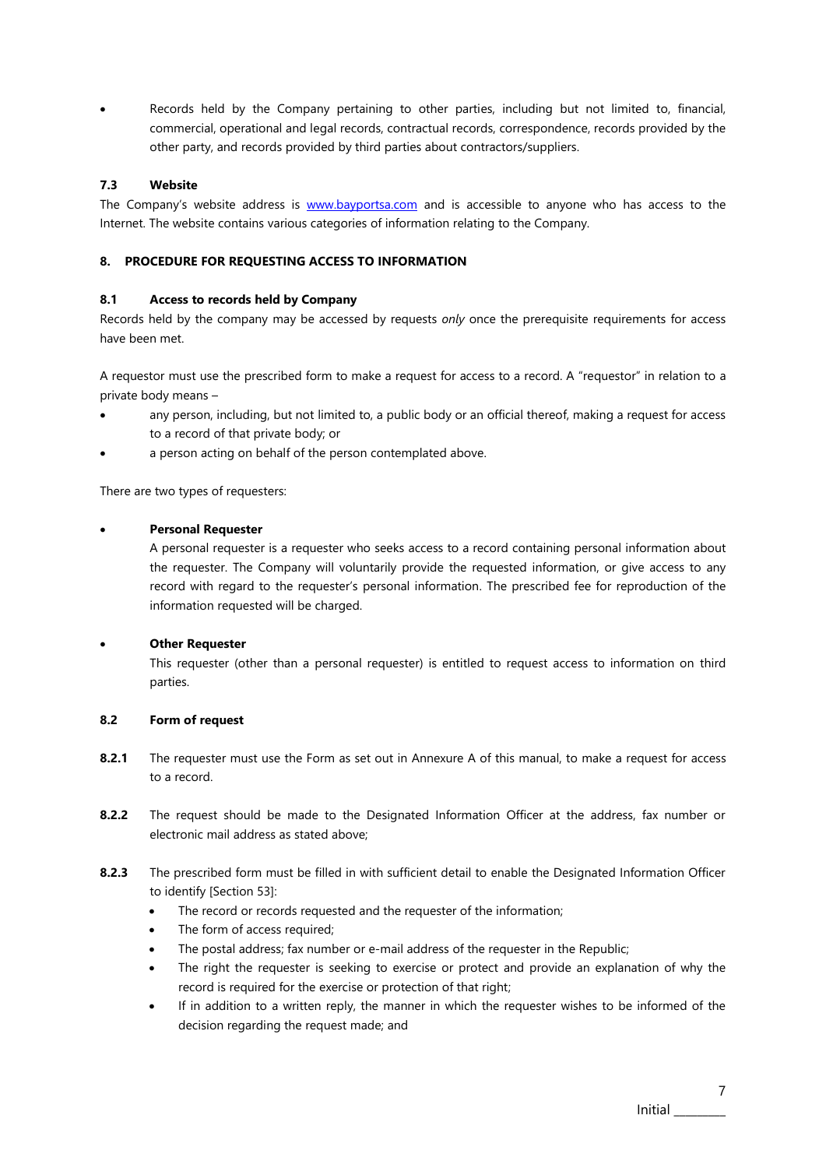• Records held by the Company pertaining to other parties, including but not limited to, financial, commercial, operational and legal records, contractual records, correspondence, records provided by the other party, and records provided by third parties about contractors/suppliers.

## **7.3 Website**

The Company's website address is [www.bayportsa.com](http://www.bayportsa.com/) and is accessible to anyone who has access to the Internet. The website contains various categories of information relating to the Company.

## <span id="page-8-0"></span>**8. PROCEDURE FOR REQUESTING ACCESS TO INFORMATION**

## <span id="page-8-1"></span>**8.1 Access to records held by Company**

Records held by the company may be accessed by requests *only* once the prerequisite requirements for access have been met.

A requestor must use the prescribed form to make a request for access to a record. A "requestor" in relation to a private body means –

- any person, including, but not limited to, a public body or an official thereof, making a request for access to a record of that private body; or
- a person acting on behalf of the person contemplated above.

There are two types of requesters:

## • **Personal Requester**

A personal requester is a requester who seeks access to a record containing personal information about the requester. The Company will voluntarily provide the requested information, or give access to any record with regard to the requester's personal information. The prescribed fee for reproduction of the information requested will be charged.

## • **Other Requester**

This requester (other than a personal requester) is entitled to request access to information on third parties.

## <span id="page-8-2"></span>**8.2 Form of request**

- **8.2.1** The requester must use the Form as set out in Annexure A of this manual, to make a request for access to a record.
- **8.2.2** The request should be made to the Designated Information Officer at the address, fax number or electronic mail address as stated above;
- **8.2.3** The prescribed form must be filled in with sufficient detail to enable the Designated Information Officer to identify [Section 53]:
	- The record or records requested and the requester of the information;
	- The form of access required;
	- The postal address; fax number or e-mail address of the requester in the Republic;
	- The right the requester is seeking to exercise or protect and provide an explanation of why the record is required for the exercise or protection of that right;
	- If in addition to a written reply, the manner in which the requester wishes to be informed of the decision regarding the request made; and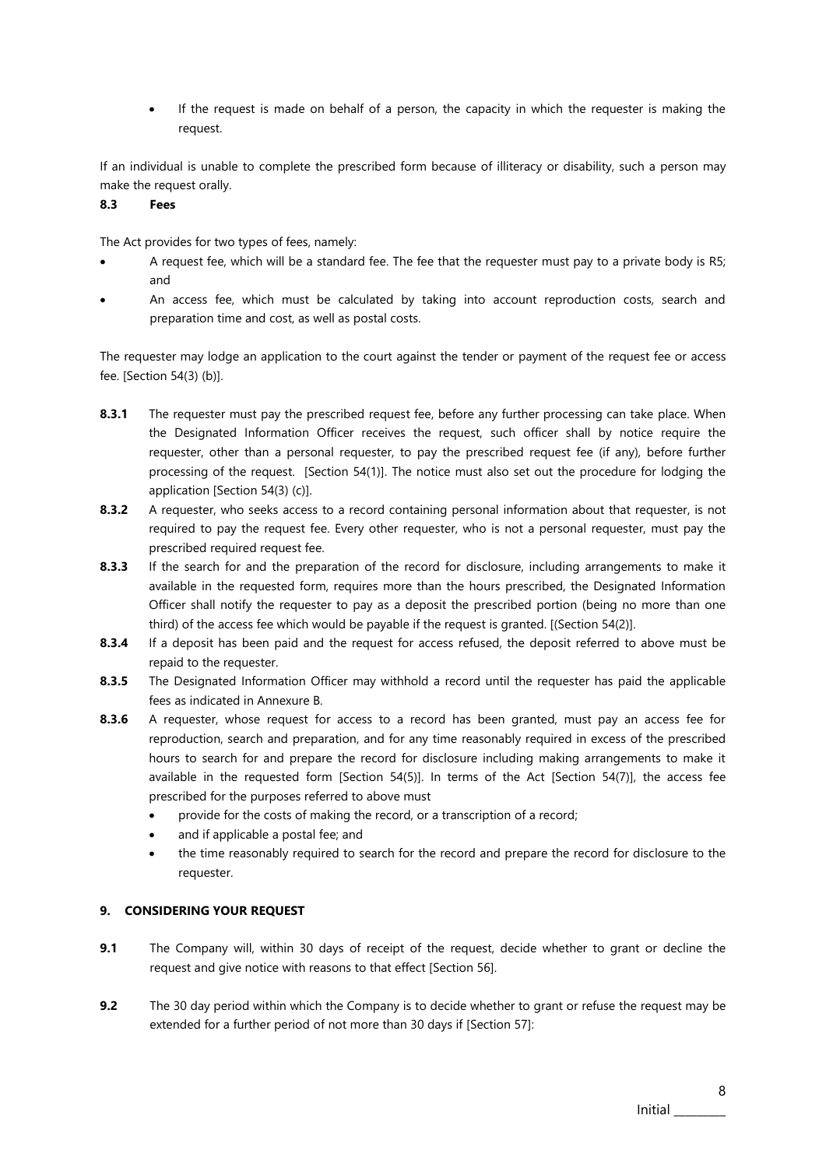• If the request is made on behalf of a person, the capacity in which the requester is making the request.

If an individual is unable to complete the prescribed form because of illiteracy or disability, such a person may make the request orally.

## <span id="page-9-0"></span>**8.3 Fees**

The Act provides for two types of fees, namely:

- A request fee, which will be a standard fee. The fee that the requester must pay to a private body is R5; and
- An access fee, which must be calculated by taking into account reproduction costs, search and preparation time and cost, as well as postal costs.

The requester may lodge an application to the court against the tender or payment of the request fee or access fee. [Section 54(3) (b)].

- **8.3.1** The requester must pay the prescribed request fee, before any further processing can take place. When the Designated Information Officer receives the request, such officer shall by notice require the requester, other than a personal requester, to pay the prescribed request fee (if any), before further processing of the request. [Section 54(1)]. The notice must also set out the procedure for lodging the application [Section 54(3) (c)].
- **8.3.2** A requester, who seeks access to a record containing personal information about that requester, is not required to pay the request fee. Every other requester, who is not a personal requester, must pay the prescribed required request fee.
- **8.3.3** If the search for and the preparation of the record for disclosure, including arrangements to make it available in the requested form, requires more than the hours prescribed, the Designated Information Officer shall notify the requester to pay as a deposit the prescribed portion (being no more than one third) of the access fee which would be payable if the request is granted. [(Section 54(2)].
- **8.3.4** If a deposit has been paid and the request for access refused, the deposit referred to above must be repaid to the requester.
- **8.3.5** The Designated Information Officer may withhold a record until the requester has paid the applicable fees as indicated in Annexure B.
- **8.3.6** A requester, whose request for access to a record has been granted, must pay an access fee for reproduction, search and preparation, and for any time reasonably required in excess of the prescribed hours to search for and prepare the record for disclosure including making arrangements to make it available in the requested form [Section 54(5)]. In terms of the Act [Section 54(7)], the access fee prescribed for the purposes referred to above must
	- provide for the costs of making the record, or a transcription of a record;
	- and if applicable a postal fee; and
	- the time reasonably required to search for the record and prepare the record for disclosure to the requester.

## <span id="page-9-1"></span>**9. CONSIDERING YOUR REQUEST**

- **9.1** The Company will, within 30 days of receipt of the request, decide whether to grant or decline the request and give notice with reasons to that effect [Section 56].
- **9.2** The 30 day period within which the Company is to decide whether to grant or refuse the request may be extended for a further period of not more than 30 days if [Section 57]: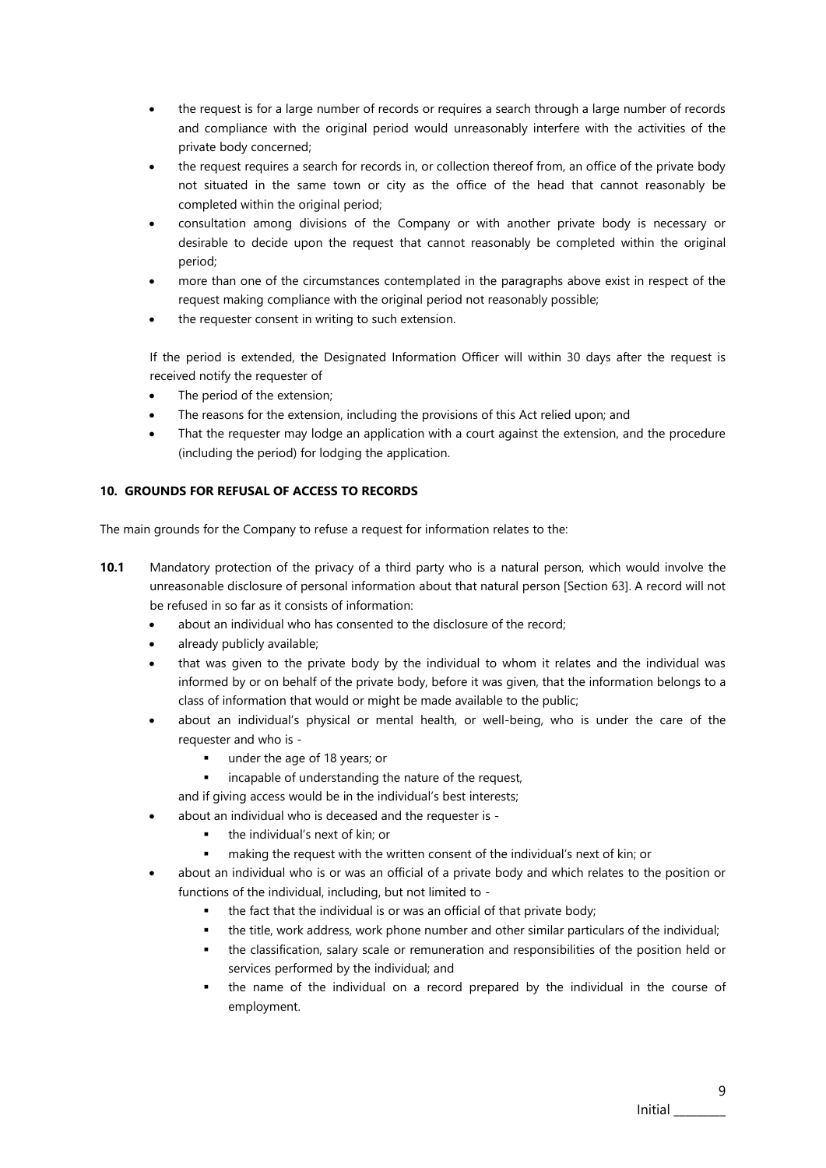- the request is for a large number of records or requires a search through a large number of records and compliance with the original period would unreasonably interfere with the activities of the private body concerned;
- the request requires a search for records in, or collection thereof from, an office of the private body not situated in the same town or city as the office of the head that cannot reasonably be completed within the original period;
- consultation among divisions of the Company or with another private body is necessary or desirable to decide upon the request that cannot reasonably be completed within the original period;
- more than one of the circumstances contemplated in the paragraphs above exist in respect of the request making compliance with the original period not reasonably possible;
- the requester consent in writing to such extension.

If the period is extended, the Designated Information Officer will within 30 days after the request is received notify the requester of

- The period of the extension;
- The reasons for the extension, including the provisions of this Act relied upon; and
- That the requester may lodge an application with a court against the extension, and the procedure (including the period) for lodging the application.

## <span id="page-10-0"></span>**10. GROUNDS FOR REFUSAL OF ACCESS TO RECORDS**

The main grounds for the Company to refuse a request for information relates to the:

- **10.1** Mandatory protection of the privacy of a third party who is a natural person, which would involve the unreasonable disclosure of personal information about that natural person [Section 63]. A record will not be refused in so far as it consists of information:
	- about an individual who has consented to the disclosure of the record;
	- already publicly available;
	- that was given to the private body by the individual to whom it relates and the individual was informed by or on behalf of the private body, before it was given, that the information belongs to a class of information that would or might be made available to the public;
	- about an individual's physical or mental health, or well-being, who is under the care of the requester and who is -
		- under the age of 18 years; or
		- incapable of understanding the nature of the request,
		- and if giving access would be in the individual's best interests;
	- about an individual who is deceased and the requester is
		- the individual's next of kin; or
		- making the request with the written consent of the individual's next of kin; or
	- about an individual who is or was an official of a private body and which relates to the position or functions of the individual, including, but not limited to
		- the fact that the individual is or was an official of that private body;
		- the title, work address, work phone number and other similar particulars of the individual;
		- the classification, salary scale or remuneration and responsibilities of the position held or services performed by the individual; and
		- the name of the individual on a record prepared by the individual in the course of employment.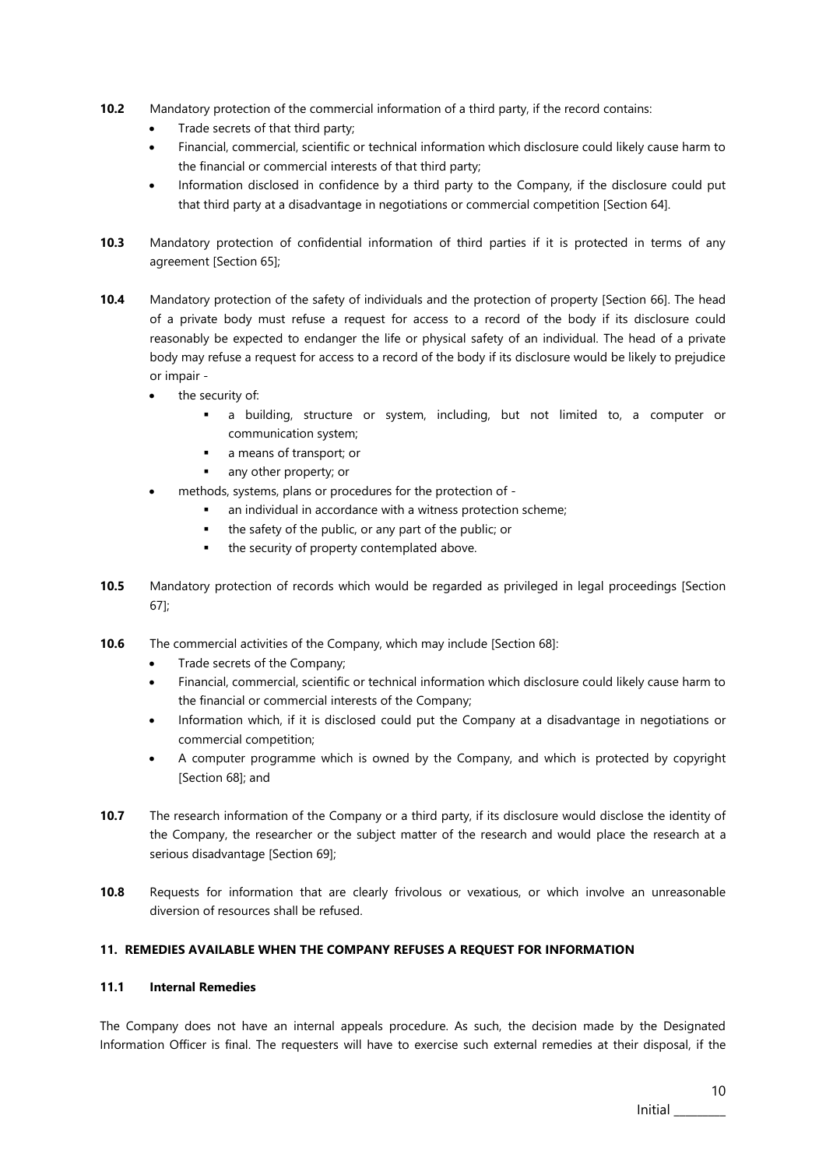- **10.2** Mandatory protection of the commercial information of a third party, if the record contains:
	- Trade secrets of that third party;
	- Financial, commercial, scientific or technical information which disclosure could likely cause harm to the financial or commercial interests of that third party;
	- Information disclosed in confidence by a third party to the Company, if the disclosure could put that third party at a disadvantage in negotiations or commercial competition [Section 64].
- **10.3** Mandatory protection of confidential information of third parties if it is protected in terms of any agreement [Section 65];
- **10.4** Mandatory protection of the safety of individuals and the protection of property [Section 66]. The head of a private body must refuse a request for access to a record of the body if its disclosure could reasonably be expected to endanger the life or physical safety of an individual. The head of a private body may refuse a request for access to a record of the body if its disclosure would be likely to prejudice or impair
	- the security of:
		- a building, structure or system, including, but not limited to, a computer or communication system;
		- a means of transport; or
		- any other property; or
	- methods, systems, plans or procedures for the protection of
		- an individual in accordance with a witness protection scheme;
		- the safety of the public, or any part of the public; or
		- the security of property contemplated above.
- **10.5** Mandatory protection of records which would be regarded as privileged in legal proceedings [Section 67];
- **10.6** The commercial activities of the Company, which may include [Section 68]:
	- Trade secrets of the Company;
	- Financial, commercial, scientific or technical information which disclosure could likely cause harm to the financial or commercial interests of the Company;
	- Information which, if it is disclosed could put the Company at a disadvantage in negotiations or commercial competition;
	- A computer programme which is owned by the Company, and which is protected by copyright [Section 68]; and
- **10.7** The research information of the Company or a third party, if its disclosure would disclose the identity of the Company, the researcher or the subject matter of the research and would place the research at a serious disadvantage [Section 69];
- **10.8** Requests for information that are clearly frivolous or vexatious, or which involve an unreasonable diversion of resources shall be refused.

#### <span id="page-11-0"></span>**11. REMEDIES AVAILABLE WHEN THE COMPANY REFUSES A REQUEST FOR INFORMATION**

#### <span id="page-11-1"></span>**11.1 Internal Remedies**

The Company does not have an internal appeals procedure. As such, the decision made by the Designated Information Officer is final. The requesters will have to exercise such external remedies at their disposal, if the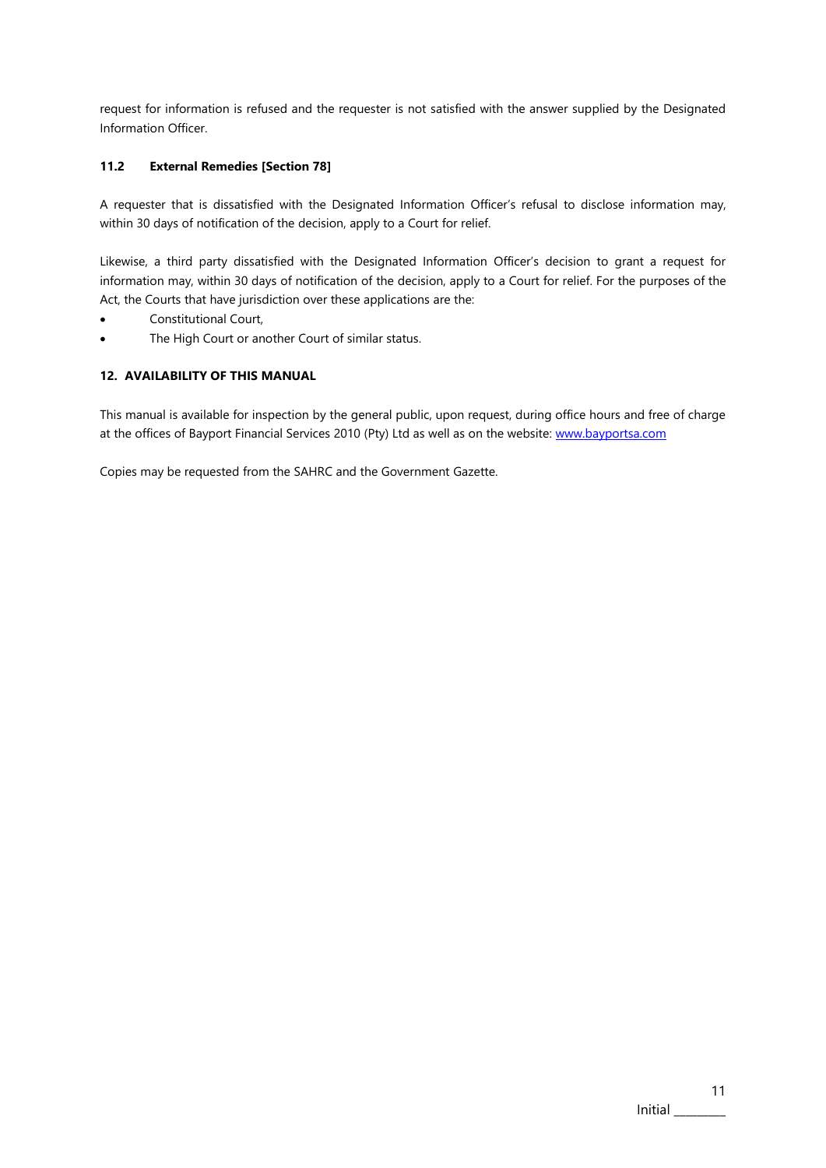request for information is refused and the requester is not satisfied with the answer supplied by the Designated Information Officer.

## <span id="page-12-0"></span>**11.2 External Remedies [Section 78]**

A requester that is dissatisfied with the Designated Information Officer's refusal to disclose information may, within 30 days of notification of the decision, apply to a Court for relief.

Likewise, a third party dissatisfied with the Designated Information Officer's decision to grant a request for information may, within 30 days of notification of the decision, apply to a Court for relief. For the purposes of the Act, the Courts that have jurisdiction over these applications are the:

- Constitutional Court,
- The High Court or another Court of similar status.

### <span id="page-12-1"></span>**12. AVAILABILITY OF THIS MANUAL**

This manual is available for inspection by the general public, upon request, during office hours and free of charge at the offices of Bayport Financial Services 2010 (Pty) Ltd as well as on the website: [www.bayportsa.com](http://www.bayport.co.za/)

Copies may be requested from the SAHRC and the Government Gazette.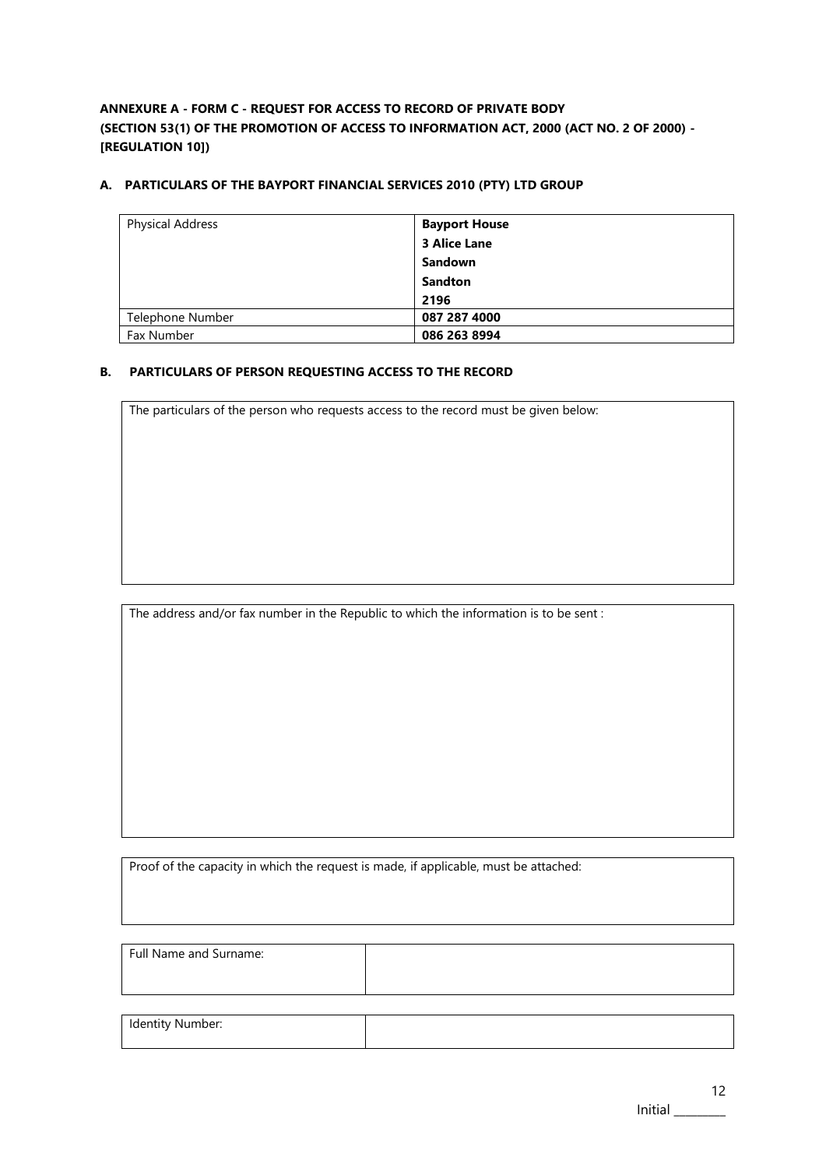<span id="page-13-0"></span>**ANNEXURE A - FORM C - REQUEST FOR ACCESS TO RECORD OF PRIVATE BODY (SECTION 53(1) OF THE PROMOTION OF ACCESS TO INFORMATION ACT, 2000 (ACT NO. 2 OF 2000) - [REGULATION 10])**

## **A. PARTICULARS OF THE BAYPORT FINANCIAL SERVICES 2010 (PTY) LTD GROUP**

| <b>Physical Address</b> | <b>Bayport House</b> |
|-------------------------|----------------------|
|                         | <b>3 Alice Lane</b>  |
|                         | <b>Sandown</b>       |
|                         | <b>Sandton</b>       |
|                         | 2196                 |
| Telephone Number        | 087 287 4000         |
| Fax Number              | 086 263 8994         |

## **B. PARTICULARS OF PERSON REQUESTING ACCESS TO THE RECORD**

The particulars of the person who requests access to the record must be given below:

The address and/or fax number in the Republic to which the information is to be sent :

Proof of the capacity in which the request is made, if applicable, must be attached:

| Full Name and Surname: |  |
|------------------------|--|
|                        |  |
| Identity Number:       |  |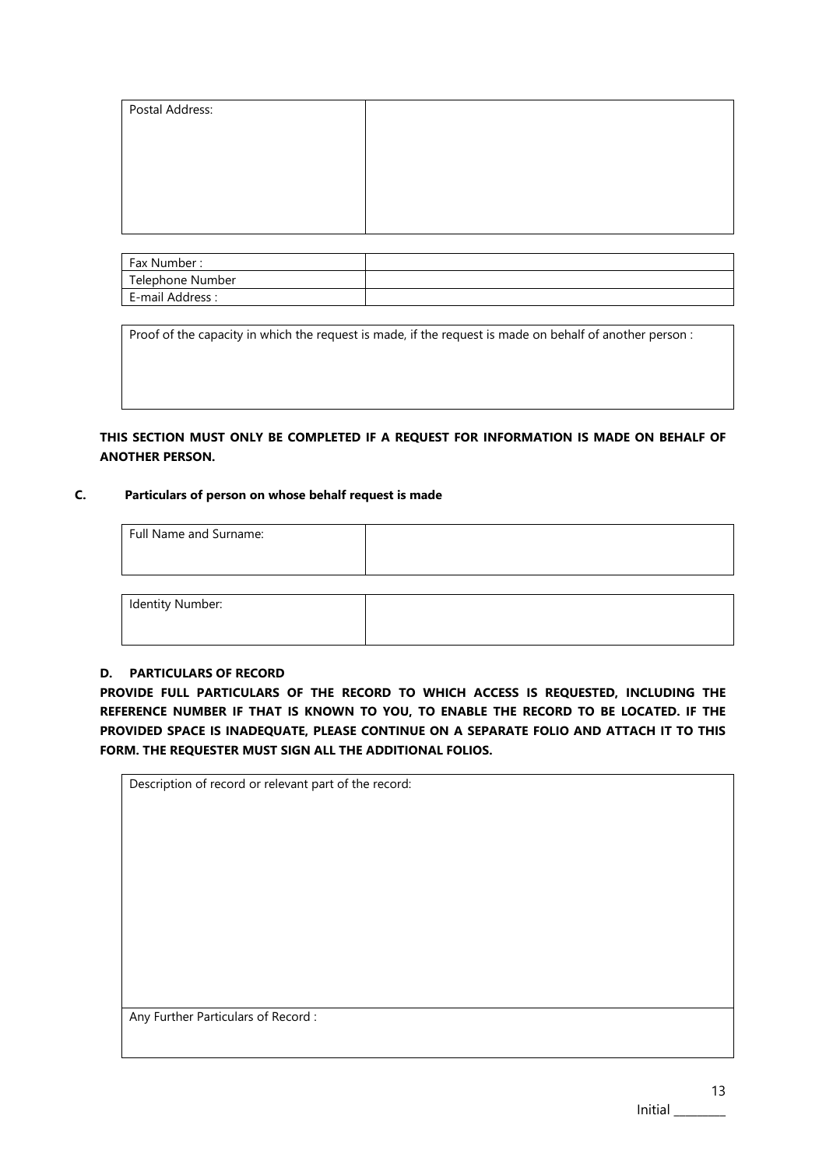| Postal Address: |  |
|-----------------|--|
|                 |  |
|                 |  |
|                 |  |
|                 |  |
|                 |  |

| Fax Number:      |  |
|------------------|--|
| Telephone Number |  |
| E-mail Address : |  |

Proof of the capacity in which the request is made, if the request is made on behalf of another person :

## **THIS SECTION MUST ONLY BE COMPLETED IF A REQUEST FOR INFORMATION IS MADE ON BEHALF OF ANOTHER PERSON.**

## **C. Particulars of person on whose behalf request is made**

| Full Name and Surname: |  |
|------------------------|--|
|                        |  |
| Identity Number:       |  |

#### **D. PARTICULARS OF RECORD**

**PROVIDE FULL PARTICULARS OF THE RECORD TO WHICH ACCESS IS REQUESTED, INCLUDING THE REFERENCE NUMBER IF THAT IS KNOWN TO YOU, TO ENABLE THE RECORD TO BE LOCATED. IF THE PROVIDED SPACE IS INADEQUATE, PLEASE CONTINUE ON A SEPARATE FOLIO AND ATTACH IT TO THIS FORM. THE REQUESTER MUST SIGN ALL THE ADDITIONAL FOLIOS.**

| Description of record or relevant part of the record: |
|-------------------------------------------------------|
|                                                       |
|                                                       |
|                                                       |
|                                                       |
|                                                       |
|                                                       |
|                                                       |
|                                                       |
|                                                       |
|                                                       |
| Any Further Particulars of Record:                    |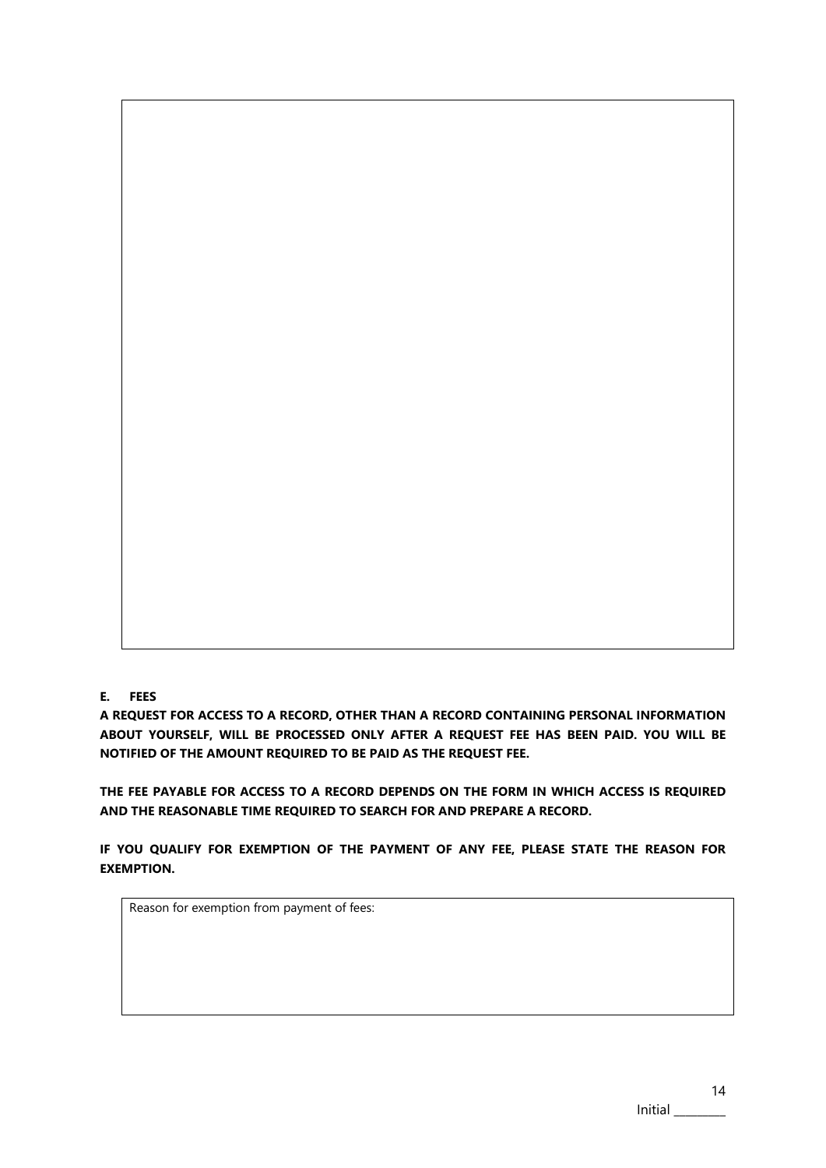## **E. FEES**

**A REQUEST FOR ACCESS TO A RECORD, OTHER THAN A RECORD CONTAINING PERSONAL INFORMATION ABOUT YOURSELF, WILL BE PROCESSED ONLY AFTER A REQUEST FEE HAS BEEN PAID. YOU WILL BE NOTIFIED OF THE AMOUNT REQUIRED TO BE PAID AS THE REQUEST FEE.**

**THE FEE PAYABLE FOR ACCESS TO A RECORD DEPENDS ON THE FORM IN WHICH ACCESS IS REQUIRED AND THE REASONABLE TIME REQUIRED TO SEARCH FOR AND PREPARE A RECORD.**

**IF YOU QUALIFY FOR EXEMPTION OF THE PAYMENT OF ANY FEE, PLEASE STATE THE REASON FOR EXEMPTION.**

Reason for exemption from payment of fees: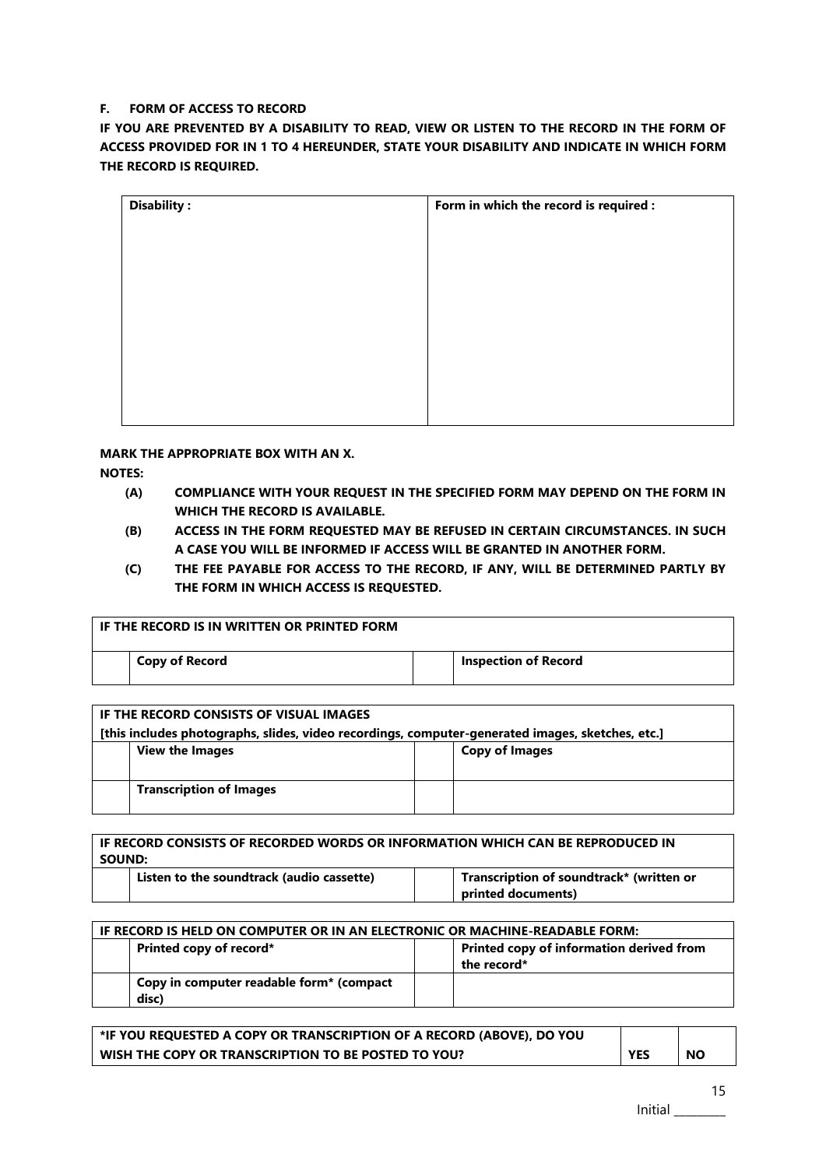## **F. FORM OF ACCESS TO RECORD**

**IF YOU ARE PREVENTED BY A DISABILITY TO READ, VIEW OR LISTEN TO THE RECORD IN THE FORM OF ACCESS PROVIDED FOR IN 1 TO 4 HEREUNDER, STATE YOUR DISABILITY AND INDICATE IN WHICH FORM THE RECORD IS REQUIRED.**

| <b>Disability:</b> | Form in which the record is required : |
|--------------------|----------------------------------------|
|                    |                                        |
|                    |                                        |
|                    |                                        |
|                    |                                        |
|                    |                                        |
|                    |                                        |
|                    |                                        |
|                    |                                        |

**MARK THE APPROPRIATE BOX WITH AN X.**

**NOTES:**

- **(A) COMPLIANCE WITH YOUR REQUEST IN THE SPECIFIED FORM MAY DEPEND ON THE FORM IN WHICH THE RECORD IS AVAILABLE.**
- **(B) ACCESS IN THE FORM REQUESTED MAY BE REFUSED IN CERTAIN CIRCUMSTANCES. IN SUCH A CASE YOU WILL BE INFORMED IF ACCESS WILL BE GRANTED IN ANOTHER FORM.**
- **(C) THE FEE PAYABLE FOR ACCESS TO THE RECORD, IF ANY, WILL BE DETERMINED PARTLY BY THE FORM IN WHICH ACCESS IS REQUESTED.**

| l IF THE RECORD IS IN WRITTEN OR PRINTED FORM. |  |                             |
|------------------------------------------------|--|-----------------------------|
| Copy of Record                                 |  | <b>Inspection of Record</b> |
|                                                |  |                             |

| IF THE RECORD CONSISTS OF VISUAL IMAGES                                                          |  |                       |  |  |  |
|--------------------------------------------------------------------------------------------------|--|-----------------------|--|--|--|
| [this includes photographs, slides, video recordings, computer-generated images, sketches, etc.] |  |                       |  |  |  |
| <b>View the Images</b>                                                                           |  | <b>Copy of Images</b> |  |  |  |
|                                                                                                  |  |                       |  |  |  |
| <b>Transcription of Images</b>                                                                   |  |                       |  |  |  |
|                                                                                                  |  |                       |  |  |  |

| <b>IF RECORD CONSISTS OF RECORDED WORDS OR INFORMATION WHICH CAN BE REPRODUCED IN</b><br>SOUND: |  |                                                                |  |  |
|-------------------------------------------------------------------------------------------------|--|----------------------------------------------------------------|--|--|
| Listen to the soundtrack (audio cassette)                                                       |  | Transcription of soundtrack* (written or<br>printed documents) |  |  |

| IF RECORD IS HELD ON COMPUTER OR IN AN ELECTRONIC OR MACHINE-READABLE FORM: |                                                         |  |  |  |
|-----------------------------------------------------------------------------|---------------------------------------------------------|--|--|--|
| Printed copy of record*                                                     | Printed copy of information derived from<br>the record* |  |  |  |
| Copy in computer readable form* (compact<br>disc)                           |                                                         |  |  |  |

| *IF YOU REQUESTED A COPY OR TRANSCRIPTION OF A RECORD (ABOVE), DO YOU |            |           |
|-----------------------------------------------------------------------|------------|-----------|
| WISH THE COPY OR TRANSCRIPTION TO BE POSTED TO YOU?                   | <b>YES</b> | <b>NO</b> |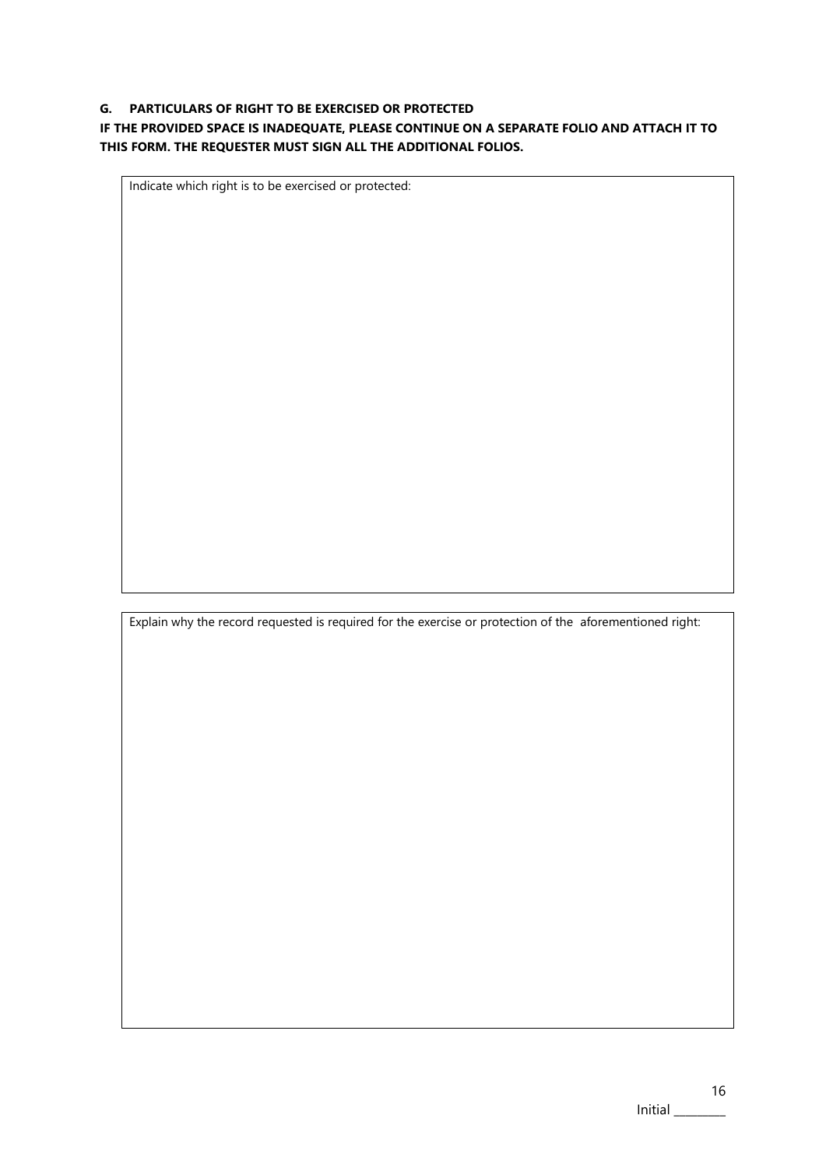## **G. PARTICULARS OF RIGHT TO BE EXERCISED OR PROTECTED**

## **IF THE PROVIDED SPACE IS INADEQUATE, PLEASE CONTINUE ON A SEPARATE FOLIO AND ATTACH IT TO THIS FORM. THE REQUESTER MUST SIGN ALL THE ADDITIONAL FOLIOS.**

Indicate which right is to be exercised or protected:

Explain why the record requested is required for the exercise or protection of the aforementioned right: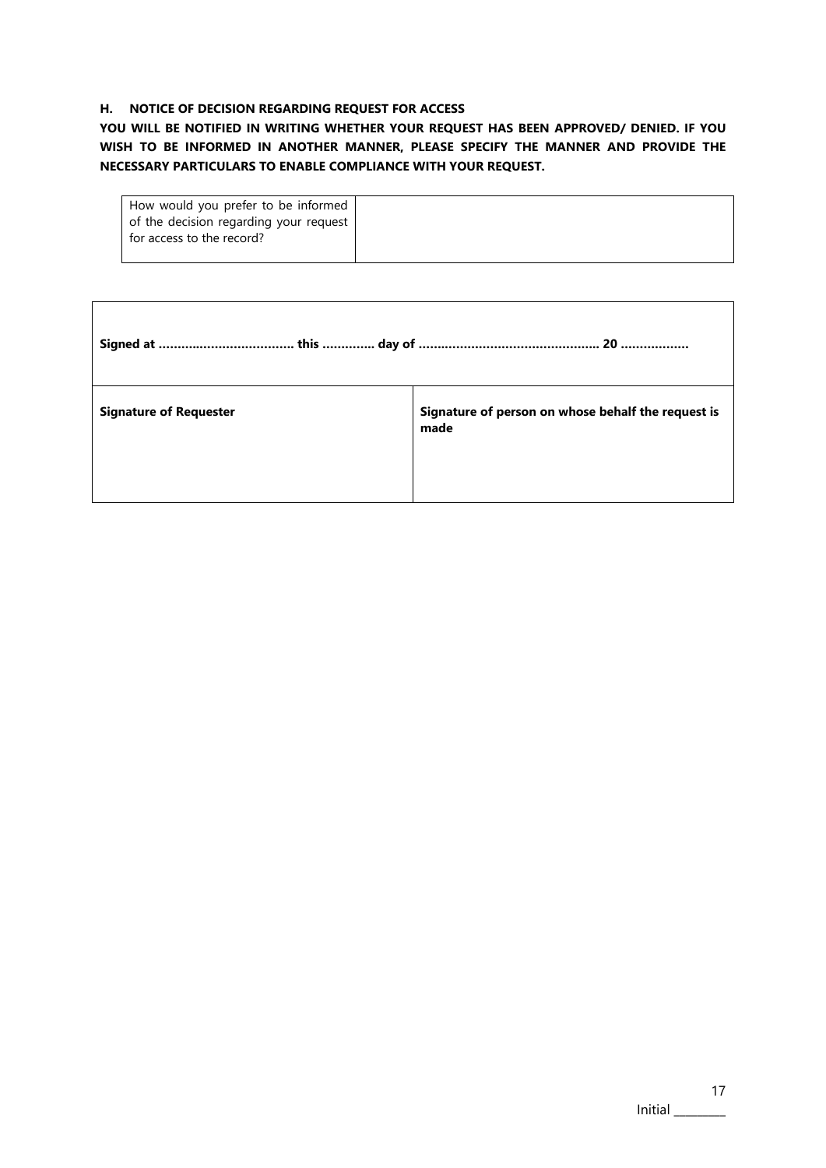## **H. NOTICE OF DECISION REGARDING REQUEST FOR ACCESS**

 $\Gamma$ 

**YOU WILL BE NOTIFIED IN WRITING WHETHER YOUR REQUEST HAS BEEN APPROVED/ DENIED. IF YOU WISH TO BE INFORMED IN ANOTHER MANNER, PLEASE SPECIFY THE MANNER AND PROVIDE THE NECESSARY PARTICULARS TO ENABLE COMPLIANCE WITH YOUR REQUEST.**

| How would you prefer to be informed    |  |
|----------------------------------------|--|
|                                        |  |
| of the decision regarding your request |  |
|                                        |  |
| for access to the record?              |  |
|                                        |  |
|                                        |  |

| <b>Signature of Requester</b> | Signature of person on whose behalf the request is<br>made |
|-------------------------------|------------------------------------------------------------|